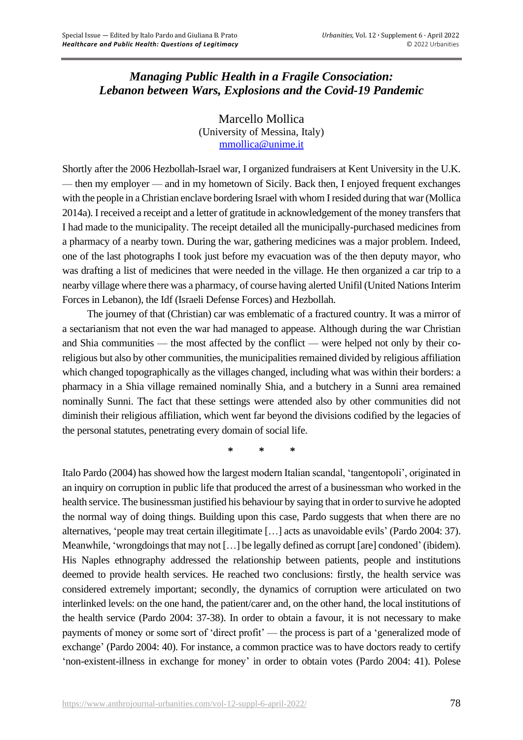## *Managing Public Health in a Fragile Consociation: Lebanon between Wars, Explosions and the Covid-19 Pandemic*

Marcello Mollica (University of Messina, Italy) [mmollica@unime.it](mailto:mmollica@unime.it)

Shortly after the 2006 Hezbollah-Israel war, I organized fundraisers at Kent University in the U.K. — then my employer — and in my hometown of Sicily. Back then, I enjoyed frequent exchanges with the people in a Christian enclave bordering Israel with whom I resided during that war (Mollica 2014a). I received a receipt and a letter of gratitude in acknowledgement of the money transfers that I had made to the municipality. The receipt detailed all the municipally-purchased medicines from a pharmacy of a nearby town. During the war, gathering medicines was a major problem. Indeed, one of the last photographs I took just before my evacuation was of the then deputy mayor, who was drafting a list of medicines that were needed in the village. He then organized a car trip to a nearby village where there was a pharmacy, of course having alerted Unifil (United Nations Interim Forces in Lebanon), the Idf (Israeli Defense Forces) and Hezbollah.

The journey of that (Christian) car was emblematic of a fractured country. It was a mirror of a sectarianism that not even the war had managed to appease. Although during the war Christian and Shia communities — the most affected by the conflict — were helped not only by their coreligious but also by other communities, the municipalities remained divided by religious affiliation which changed topographically as the villages changed, including what was within their borders: a pharmacy in a Shia village remained nominally Shia, and a butchery in a Sunni area remained nominally Sunni. The fact that these settings were attended also by other communities did not diminish their religious affiliation, which went far beyond the divisions codified by the legacies of the personal statutes, penetrating every domain of social life.

**\* \* \***

Italo Pardo (2004) has showed how the largest modern Italian scandal, 'tangentopoli', originated in an inquiry on corruption in public life that produced the arrest of a businessman who worked in the health service. The businessman justified his behaviour by saying that in order to survive he adopted the normal way of doing things. Building upon this case, Pardo suggests that when there are no alternatives, 'people may treat certain illegitimate […] acts as unavoidable evils' (Pardo 2004: 37). Meanwhile, 'wrongdoings that may not […] be legally defined as corrupt [are] condoned' (ibidem). His Naples ethnography addressed the relationship between patients, people and institutions deemed to provide health services. He reached two conclusions: firstly, the health service was considered extremely important; secondly, the dynamics of corruption were articulated on two interlinked levels: on the one hand, the patient/carer and, on the other hand, the local institutions of the health service (Pardo 2004: 37-38). In order to obtain a favour, it is not necessary to make payments of money or some sort of 'direct profit' — the process is part of a 'generalized mode of exchange' (Pardo 2004: 40). For instance, a common practice was to have doctors ready to certify 'non-existent-illness in exchange for money' in order to obtain votes (Pardo 2004: 41). Polese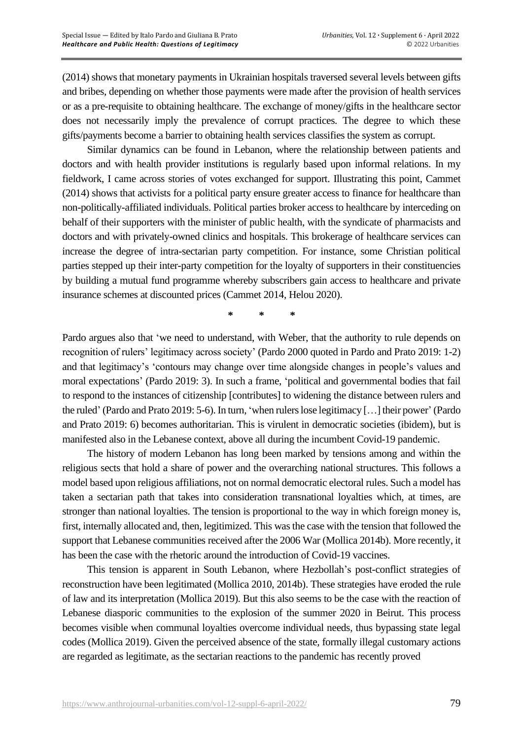(2014) shows that monetary payments in Ukrainian hospitals traversed several levels between gifts and bribes, depending on whether those payments were made after the provision of health services or as a pre-requisite to obtaining healthcare. The exchange of money/gifts in the healthcare sector does not necessarily imply the prevalence of corrupt practices. The degree to which these gifts/payments become a barrier to obtaining health services classifies the system as corrupt.

Similar dynamics can be found in Lebanon, where the relationship between patients and doctors and with health provider institutions is regularly based upon informal relations. In my fieldwork, I came across stories of votes exchanged for support. Illustrating this point, Cammet (2014) shows that activists for a political party ensure greater access to finance for healthcare than non-politically-affiliated individuals. Political parties broker access to healthcare by interceding on behalf of their supporters with the minister of public health, with the syndicate of pharmacists and doctors and with privately-owned clinics and hospitals. This brokerage of healthcare services can increase the degree of intra-sectarian party competition. For instance, some Christian political parties stepped up their inter-party competition for the loyalty of supporters in their constituencies by building a mutual fund programme whereby subscribers gain access to healthcare and private insurance schemes at discounted prices (Cammet 2014, Helou 2020).

**\* \* \***

Pardo argues also that 'we need to understand, with Weber, that the authority to rule depends on recognition of rulers' legitimacy across society' (Pardo 2000 quoted in Pardo and Prato 2019: 1-2) and that legitimacy's 'contours may change over time alongside changes in people's values and moral expectations' (Pardo 2019: 3). In such a frame, 'political and governmental bodies that fail to respond to the instances of citizenship [contributes] to widening the distance between rulers and the ruled' (Pardo and Prato 2019: 5-6). In turn, 'when rulers lose legitimacy […] their power' (Pardo and Prato 2019: 6) becomes authoritarian. This is virulent in democratic societies (ibidem), but is manifested also in the Lebanese context, above all during the incumbent Covid-19 pandemic.

The history of modern Lebanon has long been marked by tensions among and within the religious sects that hold a share of power and the overarching national structures. This follows a model based upon religious affiliations, not on normal democratic electoral rules. Such a model has taken a sectarian path that takes into consideration transnational loyalties which, at times, are stronger than national loyalties. The tension is proportional to the way in which foreign money is, first, internally allocated and, then, legitimized. This was the case with the tension that followed the support that Lebanese communities received after the 2006 War (Mollica 2014b). More recently, it has been the case with the rhetoric around the introduction of Covid-19 vaccines.

This tension is apparent in South Lebanon, where Hezbollah's post-conflict strategies of reconstruction have been legitimated (Mollica 2010, 2014b). These strategies have eroded the rule of law and its interpretation (Mollica 2019). But this also seems to be the case with the reaction of Lebanese diasporic communities to the explosion of the summer 2020 in Beirut. This process becomes visible when communal loyalties overcome individual needs, thus bypassing state legal codes (Mollica 2019). Given the perceived absence of the state, formally illegal customary actions are regarded as legitimate, as the sectarian reactions to the pandemic has recently proved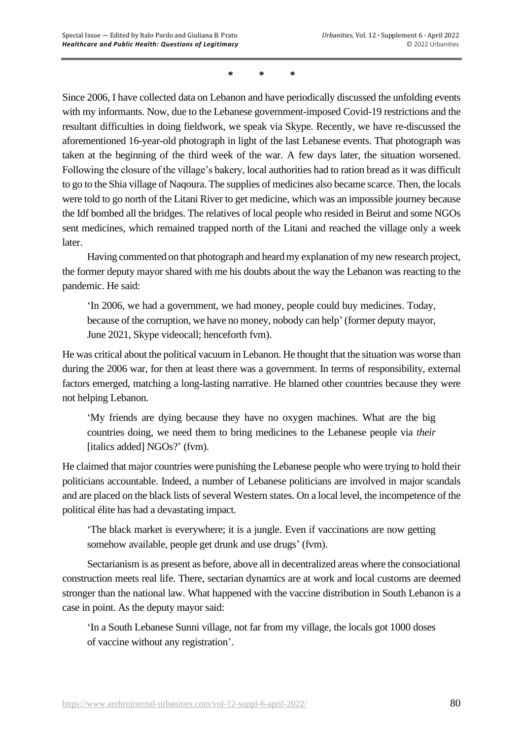## **\* \* \***

Since 2006, I have collected data on Lebanon and have periodically discussed the unfolding events with my informants. Now, due to the Lebanese government-imposed Covid-19 restrictions and the resultant difficulties in doing fieldwork, we speak via Skype. Recently, we have re-discussed the aforementioned 16-year-old photograph in light of the last Lebanese events. That photograph was taken at the beginning of the third week of the war. A few days later, the situation worsened. Following the closure of the village's bakery, local authorities had to ration bread as it was difficult to go to the Shia village of Naqoura. The supplies of medicines also became scarce. Then, the locals were told to go north of the Litani River to get medicine, which was an impossible journey because the Idf bombed all the bridges. The relatives of local people who resided in Beirut and some NGOs sent medicines, which remained trapped north of the Litani and reached the village only a week later.

Having commented on that photograph and heard my explanation of my new research project, the former deputy mayor shared with me his doubts about the way the Lebanon was reacting to the pandemic. He said:

'In 2006, we had a government, we had money, people could buy medicines. Today, because of the corruption, we have no money, nobody can help' (former deputy mayor, June 2021, Skype videocall; henceforth fvm).

He was critical about the political vacuum in Lebanon. He thought that the situation was worse than during the 2006 war, for then at least there was a government. In terms of responsibility, external factors emerged, matching a long-lasting narrative. He blamed other countries because they were not helping Lebanon.

'My friends are dying because they have no oxygen machines. What are the big countries doing, we need them to bring medicines to the Lebanese people via *their* [italics added] NGOs?' (fvm).

He claimed that major countries were punishing the Lebanese people who were trying to hold their politicians accountable. Indeed, a number of Lebanese politicians are involved in major scandals and are placed on the black lists of several Western states. On a local level, the incompetence of the political élite has had a devastating impact.

'The black market is everywhere; it is a jungle. Even if vaccinations are now getting somehow available, people get drunk and use drugs' (fvm).

Sectarianism is as present as before, above all in decentralized areas where the consociational construction meets real life. There, sectarian dynamics are at work and local customs are deemed stronger than the national law. What happened with the vaccine distribution in South Lebanon is a case in point. As the deputy mayor said:

'In a South Lebanese Sunni village, not far from my village, the locals got 1000 doses of vaccine without any registration'.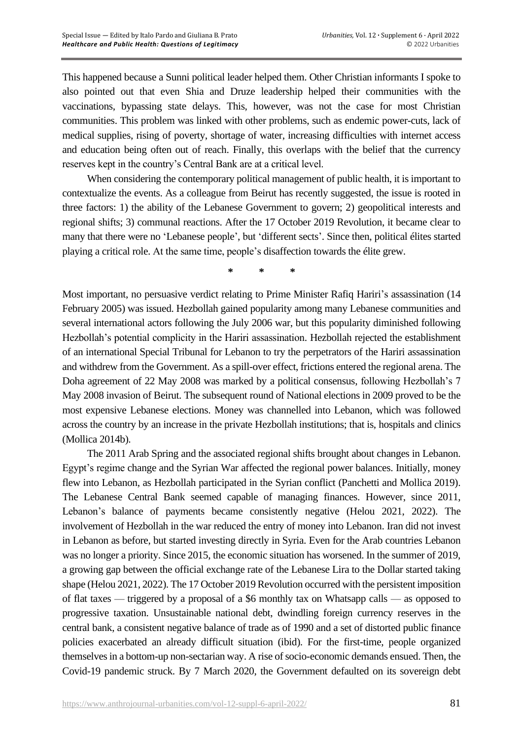This happened because a Sunni political leader helped them. Other Christian informants I spoke to also pointed out that even Shia and Druze leadership helped their communities with the vaccinations, bypassing state delays. This, however, was not the case for most Christian communities. This problem was linked with other problems, such as endemic power-cuts, lack of medical supplies, rising of poverty, shortage of water, increasing difficulties with internet access and education being often out of reach. Finally, this overlaps with the belief that the currency reserves kept in the country's Central Bank are at a critical level.

When considering the contemporary political management of public health, it is important to contextualize the events. As a colleague from Beirut has recently suggested, the issue is rooted in three factors: 1) the ability of the Lebanese Government to govern; 2) geopolitical interests and regional shifts; 3) communal reactions. After the 17 October 2019 Revolution, it became clear to many that there were no 'Lebanese people', but 'different sects'. Since then, political élites started playing a critical role. At the same time, people's disaffection towards the élite grew.

**\* \* \***

Most important, no persuasive verdict relating to Prime Minister Rafiq Hariri's assassination (14 February 2005) was issued. Hezbollah gained popularity among many Lebanese communities and several international actors following the July 2006 war, but this popularity diminished following Hezbollah's potential complicity in the Hariri assassination. Hezbollah rejected the establishment of an international Special Tribunal for Lebanon to try the perpetrators of the Hariri assassination and withdrew from the Government. As a spill-over effect, frictions entered the regional arena. The Doha agreement of 22 May 2008 was marked by a political consensus, following Hezbollah's 7 May 2008 invasion of Beirut. The subsequent round of National elections in 2009 proved to be the most expensive Lebanese elections. Money was channelled into Lebanon, which was followed across the country by an increase in the private Hezbollah institutions; that is, hospitals and clinics (Mollica 2014b).

The 2011 Arab Spring and the associated regional shifts brought about changes in Lebanon. Egypt's regime change and the Syrian War affected the regional power balances. Initially, money flew into Lebanon, as Hezbollah participated in the Syrian conflict (Panchetti and Mollica 2019). The Lebanese Central Bank seemed capable of managing finances. However, since 2011, Lebanon's balance of payments became consistently negative (Helou 2021, 2022). The involvement of Hezbollah in the war reduced the entry of money into Lebanon. Iran did not invest in Lebanon as before, but started investing directly in Syria. Even for the Arab countries Lebanon was no longer a priority. Since 2015, the economic situation has worsened. In the summer of 2019, a growing gap between the official exchange rate of the Lebanese Lira to the Dollar started taking shape (Helou 2021, 2022). The 17 October 2019 Revolution occurred with the persistent imposition of flat taxes — triggered by a proposal of a \$6 monthly tax on Whatsapp calls — as opposed to progressive taxation. Unsustainable national debt, dwindling foreign currency reserves in the central bank, a consistent negative balance of trade as of 1990 and a set of distorted public finance policies exacerbated an already difficult situation (ibid). For the first-time, people organized themselves in a bottom-up non-sectarian way. A rise of socio-economic demands ensued. Then, the Covid-19 pandemic struck. By 7 March 2020, the Government defaulted on its sovereign debt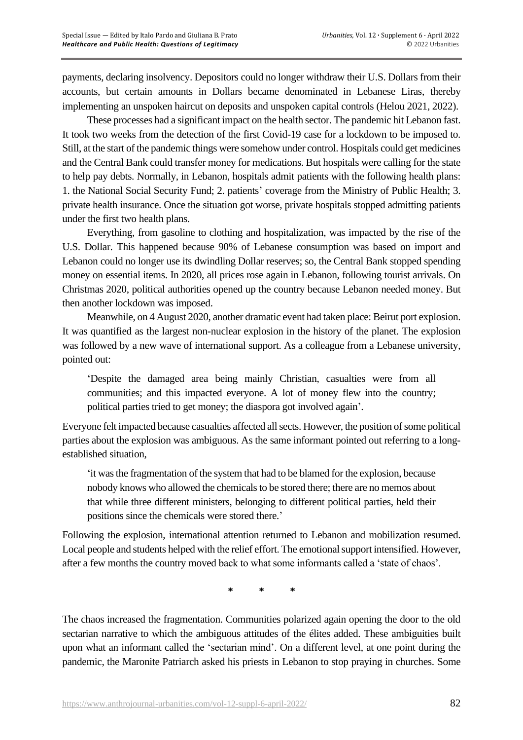payments, declaring insolvency. Depositors could no longer withdraw their U.S. Dollars from their accounts, but certain amounts in Dollars became denominated in Lebanese Liras, thereby implementing an unspoken haircut on deposits and unspoken capital controls (Helou 2021, 2022).

These processes had a significant impact on the health sector. The pandemic hit Lebanon fast. It took two weeks from the detection of the first Covid-19 case for a lockdown to be imposed to. Still, at the start of the pandemic things were somehow under control. Hospitals could get medicines and the Central Bank could transfer money for medications. But hospitals were calling for the state to help pay debts. Normally, in Lebanon, hospitals admit patients with the following health plans: 1. the National Social Security Fund; 2. patients' coverage from the Ministry of Public Health; 3. private health insurance. Once the situation got worse, private hospitals stopped admitting patients under the first two health plans.

Everything, from gasoline to clothing and hospitalization, was impacted by the rise of the U.S. Dollar. This happened because 90% of Lebanese consumption was based on import and Lebanon could no longer use its dwindling Dollar reserves; so, the Central Bank stopped spending money on essential items. In 2020, all prices rose again in Lebanon, following tourist arrivals. On Christmas 2020, political authorities opened up the country because Lebanon needed money. But then another lockdown was imposed.

Meanwhile, on 4 August 2020, another dramatic event had taken place: Beirut port explosion. It was quantified as the largest non-nuclear explosion in the history of the planet. The explosion was followed by a new wave of international support. As a colleague from a Lebanese university, pointed out:

'Despite the damaged area being mainly Christian, casualties were from all communities; and this impacted everyone. A lot of money flew into the country; political parties tried to get money; the diaspora got involved again'.

Everyone felt impacted because casualties affected all sects. However, the position of some political parties about the explosion was ambiguous. As the same informant pointed out referring to a longestablished situation,

'it was the fragmentation of the system that had to be blamed for the explosion, because nobody knows who allowed the chemicals to be stored there; there are no memos about that while three different ministers, belonging to different political parties, held their positions since the chemicals were stored there.'

Following the explosion, international attention returned to Lebanon and mobilization resumed. Local people and students helped with the relief effort. The emotional support intensified. However, after a few months the country moved back to what some informants called a 'state of chaos'.

**\* \* \***

The chaos increased the fragmentation. Communities polarized again opening the door to the old sectarian narrative to which the ambiguous attitudes of the élites added. These ambiguities built upon what an informant called the 'sectarian mind'. On a different level, at one point during the pandemic, the Maronite Patriarch asked his priests in Lebanon to stop praying in churches. Some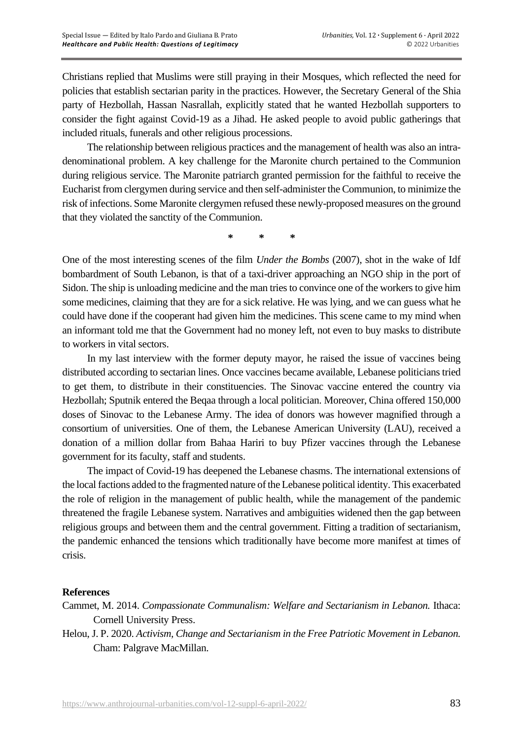Christians replied that Muslims were still praying in their Mosques, which reflected the need for policies that establish sectarian parity in the practices. However, the Secretary General of the Shia party of Hezbollah, Hassan Nasrallah, explicitly stated that he wanted Hezbollah supporters to consider the fight against Covid-19 as a Jihad. He asked people to avoid public gatherings that included rituals, funerals and other religious processions.

The relationship between religious practices and the management of health was also an intradenominational problem. A key challenge for the Maronite church pertained to the Communion during religious service. The Maronite patriarch granted permission for the faithful to receive the Eucharist from clergymen during service and then self-administer the Communion, to minimize the risk of infections. Some Maronite clergymen refused these newly-proposed measures on the ground that they violated the sanctity of the Communion.

**\* \* \***

One of the most interesting scenes of the film *Under the Bombs* (2007), shot in the wake of Idf bombardment of South Lebanon, is that of a taxi-driver approaching an NGO ship in the port of Sidon. The ship is unloading medicine and the man tries to convince one of the workers to give him some medicines, claiming that they are for a sick relative. He was lying, and we can guess what he could have done if the cooperant had given him the medicines. This scene came to my mind when an informant told me that the Government had no money left, not even to buy masks to distribute to workers in vital sectors.

In my last interview with the former deputy mayor, he raised the issue of vaccines being distributed according to sectarian lines. Once vaccines became available, Lebanese politicians tried to get them, to distribute in their constituencies. The Sinovac vaccine entered the country via Hezbollah; Sputnik entered the Beqaa through a local politician. Moreover, China offered 150,000 doses of Sinovac to the Lebanese Army. The idea of donors was however magnified through a consortium of universities. One of them, the Lebanese American University (LAU), received a donation of a million dollar from Bahaa Hariri to buy Pfizer vaccines through the Lebanese government for its faculty, staff and students.

The impact of Covid-19 has deepened the Lebanese chasms. The international extensions of the local factions added to the fragmented nature of the Lebanese political identity. This exacerbated the role of religion in the management of public health, while the management of the pandemic threatened the fragile Lebanese system. Narratives and ambiguities widened then the gap between religious groups and between them and the central government. Fitting a tradition of sectarianism, the pandemic enhanced the tensions which traditionally have become more manifest at times of crisis.

## **References**

- Cammet, M. 2014. *Compassionate Communalism: Welfare and Sectarianism in Lebanon.* Ithaca: Cornell University Press.
- Helou, J. P. 2020. *Activism, Change and Sectarianism in the Free Patriotic Movement in Lebanon.* Cham: Palgrave MacMillan.